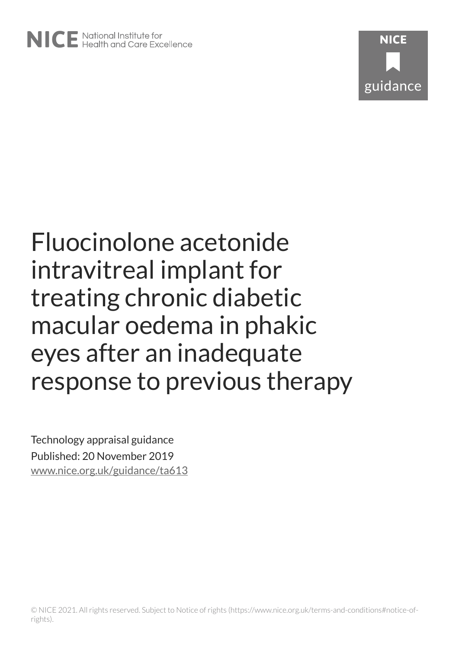# Fluocinolone acetonide intravitreal implant for treating chronic diabetic macular oedema in phakic eyes after an inadequate response to previous therapy

Technology appraisal guidance Published: 20 November 2019 [www.nice.org.uk/guidance/ta613](https://www.nice.org.uk/guidance/ta613)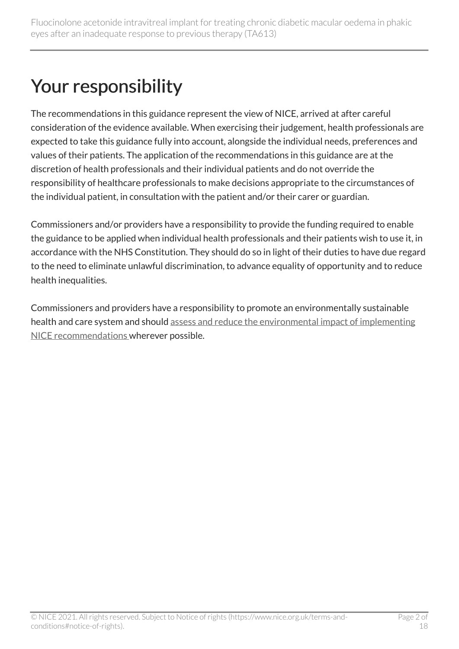# Your responsibility

The recommendations in this guidance represent the view of NICE, arrived at after careful consideration of the evidence available. When exercising their judgement, health professionals are expected to take this guidance fully into account, alongside the individual needs, preferences and values of their patients. The application of the recommendations in this guidance are at the discretion of health professionals and their individual patients and do not override the responsibility of healthcare professionals to make decisions appropriate to the circumstances of the individual patient, in consultation with the patient and/or their carer or guardian.

Commissioners and/or providers have a responsibility to provide the funding required to enable the guidance to be applied when individual health professionals and their patients wish to use it, in accordance with the NHS Constitution. They should do so in light of their duties to have due regard to the need to eliminate unlawful discrimination, to advance equality of opportunity and to reduce health inequalities.

Commissioners and providers have a responsibility to promote an environmentally sustainable health and care system and should [assess and reduce the environmental impact of implementing](https://www.nice.org.uk/about/who-we-are/sustainability)  [NICE recommendations w](https://www.nice.org.uk/about/who-we-are/sustainability)herever possible.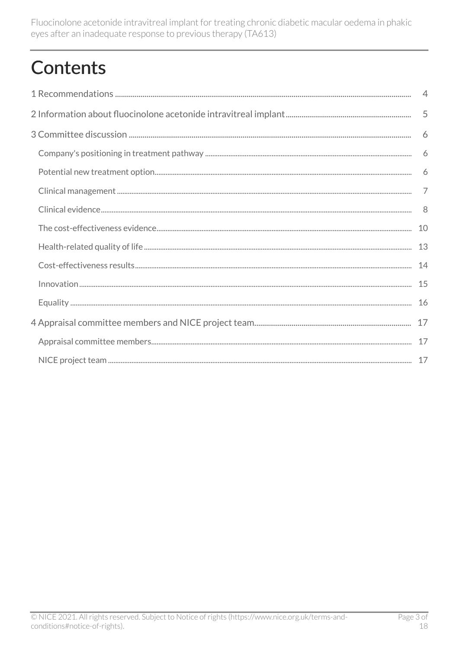Fluocinolone acetonide intravitreal implant for treating chronic diabetic macular oedema in phakic eyes after an inadequate response to previous therapy (TA613)

# **Contents**

| $\overline{4}$ |
|----------------|
|                |
|                |
| 6              |
| 6              |
| $\overline{7}$ |
| -8             |
| 10             |
| 13             |
| 14             |
| 15             |
| 16             |
|                |
|                |
|                |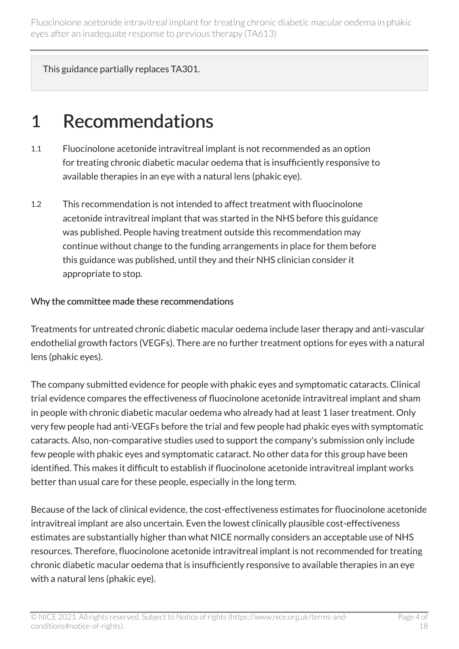Fluocinolone acetonide intravitreal implant for treating chronic diabetic macular oedema in phakic eyes after an inadequate response to previous therapy (TA613)

This guidance partially replaces TA301.

### <span id="page-3-0"></span>1 Recommendations

- 1.1 Fluocinolone acetonide intravitreal implant is not recommended as an option for treating chronic diabetic macular oedema that is insufficiently responsive to available therapies in an eye with a natural lens (phakic eye).
- 1.2 This recommendation is not intended to affect treatment with fluocinolone acetonide intravitreal implant that was started in the NHS before this guidance was published. People having treatment outside this recommendation may continue without change to the funding arrangements in place for them before this guidance was published, until they and their NHS clinician consider it appropriate to stop.

#### Why the committee made these recommendations

Treatments for untreated chronic diabetic macular oedema include laser therapy and anti-vascular endothelial growth factors (VEGFs). There are no further treatment options for eyes with a natural lens (phakic eyes).

The company submitted evidence for people with phakic eyes and symptomatic cataracts. Clinical trial evidence compares the effectiveness of fluocinolone acetonide intravitreal implant and sham in people with chronic diabetic macular oedema who already had at least 1 laser treatment. Only very few people had anti-VEGFs before the trial and few people had phakic eyes with symptomatic cataracts. Also, non-comparative studies used to support the company's submission only include few people with phakic eyes and symptomatic cataract. No other data for this group have been identified. This makes it difficult to establish if fluocinolone acetonide intravitreal implant works better than usual care for these people, especially in the long term.

Because of the lack of clinical evidence, the cost-effectiveness estimates for fluocinolone acetonide intravitreal implant are also uncertain. Even the lowest clinically plausible cost-effectiveness estimates are substantially higher than what NICE normally considers an acceptable use of NHS resources. Therefore, fluocinolone acetonide intravitreal implant is not recommended for treating chronic diabetic macular oedema that is insufficiently responsive to available therapies in an eye with a natural lens (phakic eye).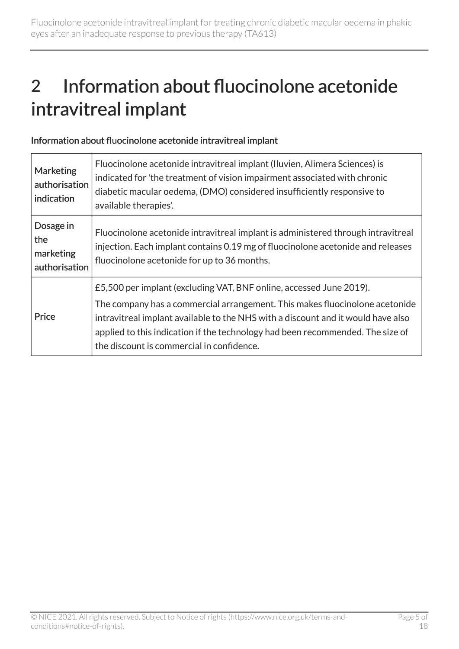# <span id="page-4-0"></span>2 Information about fluocinolone acetonide intravitreal implant

| Information about fluocinolone acetonide intravitreal implant |  |  |  |
|---------------------------------------------------------------|--|--|--|
|---------------------------------------------------------------|--|--|--|

| <b>Marketing</b><br>authorisation<br>indication | Fluocinolone acetonide intravitreal implant (Iluvien, Alimera Sciences) is<br>indicated for 'the treatment of vision impairment associated with chronic<br>diabetic macular oedema, (DMO) considered insufficiently responsive to<br>available therapies'.                                                                                                            |
|-------------------------------------------------|-----------------------------------------------------------------------------------------------------------------------------------------------------------------------------------------------------------------------------------------------------------------------------------------------------------------------------------------------------------------------|
| Dosage in<br>the<br>marketing<br>authorisation  | Fluocinolone acetonide intravitreal implant is administered through intravitreal<br>injection. Each implant contains 0.19 mg of fluocinolone acetonide and releases<br>fluocinolone acetonide for up to 36 months.                                                                                                                                                    |
| Price                                           | £5,500 per implant (excluding VAT, BNF online, accessed June 2019).<br>The company has a commercial arrangement. This makes fluocinolone acetonide<br>intravitreal implant available to the NHS with a discount and it would have also<br>applied to this indication if the technology had been recommended. The size of<br>the discount is commercial in confidence. |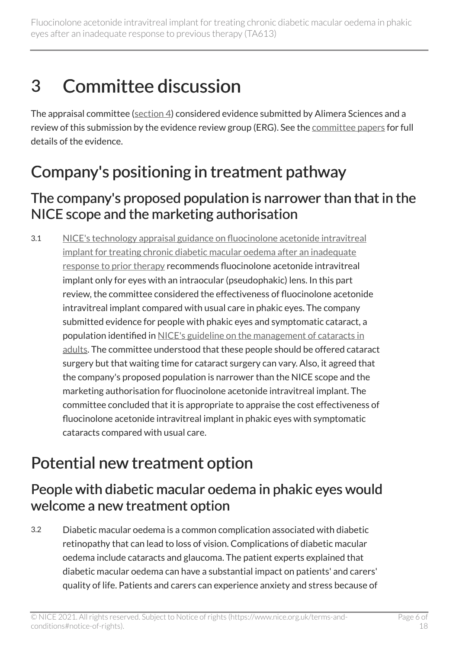# <span id="page-5-0"></span>3 Committee discussion

The appraisal committee ([section 4\)](#page-16-1) considered evidence submitted by Alimera Sciences and a review of this submission by the evidence review group (ERG). See the [committee papers](http://www.nice.org.uk/guidance/TA613/evidence) for full details of the evidence.

### <span id="page-5-1"></span>Company's positioning in treatment pathway

#### The company's proposed population is narrower than that in the NICE scope and the marketing authorisation

3.1 [NICE's technology appraisal guidance on fluocinolone acetonide intravitreal](https://www.nice.org.uk/guidance/ta301)  [implant for treating chronic diabetic macular oedema after an inadequate](https://www.nice.org.uk/guidance/ta301) [response to prior therapy](https://www.nice.org.uk/guidance/ta301) recommends fluocinolone acetonide intravitreal implant only for eyes with an intraocular (pseudophakic) lens. In this part review, the committee considered the effectiveness of fluocinolone acetonide intravitreal implant compared with usual care in phakic eyes. The company submitted evidence for people with phakic eyes and symptomatic cataract, a population identified in [NICE's guideline on the management of cataracts in](https://www.nice.org.uk/guidance/ng77)  [adults](https://www.nice.org.uk/guidance/ng77). The committee understood that these people should be offered cataract surgery but that waiting time for cataract surgery can vary. Also, it agreed that the company's proposed population is narrower than the NICE scope and the marketing authorisation for fluocinolone acetonide intravitreal implant. The committee concluded that it is appropriate to appraise the cost effectiveness of fluocinolone acetonide intravitreal implant in phakic eyes with symptomatic cataracts compared with usual care.

### <span id="page-5-2"></span>Potential new treatment option

#### People with diabetic macular oedema in phakic eyes would welcome a new treatment option

3.2 Diabetic macular oedema is a common complication associated with diabetic retinopathy that can lead to loss of vision. Complications of diabetic macular oedema include cataracts and glaucoma. The patient experts explained that diabetic macular oedema can have a substantial impact on patients' and carers' quality of life. Patients and carers can experience anxiety and stress because of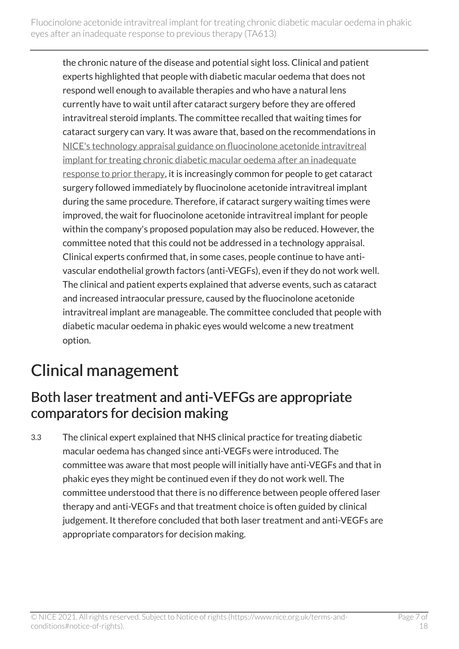the chronic nature of the disease and potential sight loss. Clinical and patient experts highlighted that people with diabetic macular oedema that does not respond well enough to available therapies and who have a natural lens currently have to wait until after cataract surgery before they are offered intravitreal steroid implants. The committee recalled that waiting times for cataract surgery can vary. It was aware that, based on the recommendations in [NICE's technology appraisal guidance on fluocinolone acetonide intravitreal](https://www.nice.org.uk/guidance/ta301)  [implant for treating chronic diabetic macular oedema after an inadequate](https://www.nice.org.uk/guidance/ta301) [response to prior therapy,](https://www.nice.org.uk/guidance/ta301) it is increasingly common for people to get cataract surgery followed immediately by fluocinolone acetonide intravitreal implant during the same procedure. Therefore, if cataract surgery waiting times were improved, the wait for fluocinolone acetonide intravitreal implant for people within the company's proposed population may also be reduced. However, the committee noted that this could not be addressed in a technology appraisal. Clinical experts confirmed that, in some cases, people continue to have antivascular endothelial growth factors (anti-VEGFs), even if they do not work well. The clinical and patient experts explained that adverse events, such as cataract and increased intraocular pressure, caused by the fluocinolone acetonide intravitreal implant are manageable. The committee concluded that people with diabetic macular oedema in phakic eyes would welcome a new treatment option.

### <span id="page-6-0"></span>Clinical management

#### Both laser treatment and anti-VEFGs are appropriate comparators for decision making

3.3 The clinical expert explained that NHS clinical practice for treating diabetic macular oedema has changed since anti-VEGFs were introduced. The committee was aware that most people will initially have anti-VEGFs and that in phakic eyes they might be continued even if they do not work well. The committee understood that there is no difference between people offered laser therapy and anti-VEGFs and that treatment choice is often guided by clinical judgement. It therefore concluded that both laser treatment and anti-VEGFs are appropriate comparators for decision making.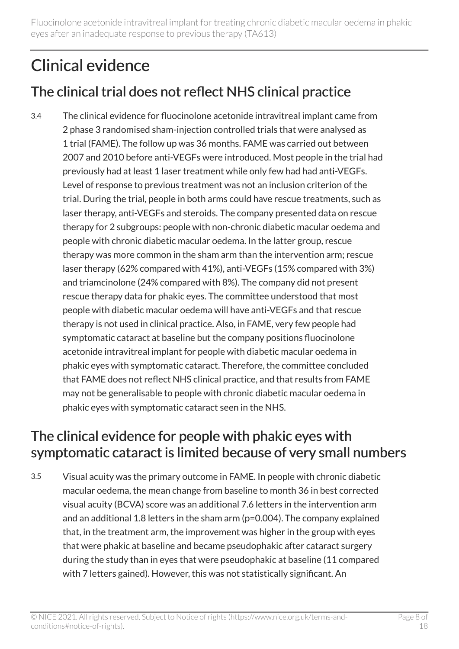Fluocinolone acetonide intravitreal implant for treating chronic diabetic macular oedema in phakic eyes after an inadequate response to previous therapy (TA613)

### <span id="page-7-0"></span>Clinical evidence

### The clinical trial does not reflect NHS clinical practice

3.4 The clinical evidence for fluocinolone acetonide intravitreal implant came from 2 phase 3 randomised sham-injection controlled trials that were analysed as 1 trial (FAME). The follow up was 36 months. FAME was carried out between 2007 and 2010 before anti-VEGFs were introduced. Most people in the trial had previously had at least 1 laser treatment while only few had had anti-VEGFs. Level of response to previous treatment was not an inclusion criterion of the trial. During the trial, people in both arms could have rescue treatments, such as laser therapy, anti-VEGFs and steroids. The company presented data on rescue therapy for 2 subgroups: people with non-chronic diabetic macular oedema and people with chronic diabetic macular oedema. In the latter group, rescue therapy was more common in the sham arm than the intervention arm; rescue laser therapy (62% compared with 41%), anti-VEGFs (15% compared with 3%) and triamcinolone (24% compared with 8%). The company did not present rescue therapy data for phakic eyes. The committee understood that most people with diabetic macular oedema will have anti-VEGFs and that rescue therapy is not used in clinical practice. Also, in FAME, very few people had symptomatic cataract at baseline but the company positions fluocinolone acetonide intravitreal implant for people with diabetic macular oedema in phakic eyes with symptomatic cataract. Therefore, the committee concluded that FAME does not reflect NHS clinical practice, and that results from FAME may not be generalisable to people with chronic diabetic macular oedema in phakic eyes with symptomatic cataract seen in the NHS.

#### <span id="page-7-1"></span>The clinical evidence for people with phakic eyes with symptomatic cataract is limited because of very small numbers

3.5 Visual acuity was the primary outcome in FAME. In people with chronic diabetic macular oedema, the mean change from baseline to month 36 in best corrected visual acuity (BCVA) score was an additional 7.6 letters in the intervention arm and an additional 1.8 letters in the sham arm (p=0.004). The company explained that, in the treatment arm, the improvement was higher in the group with eyes that were phakic at baseline and became pseudophakic after cataract surgery during the study than in eyes that were pseudophakic at baseline (11 compared with 7 letters gained). However, this was not statistically significant. An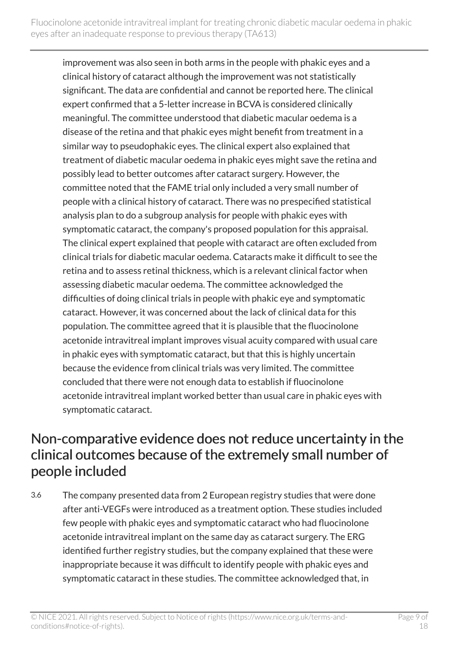improvement was also seen in both arms in the people with phakic eyes and a clinical history of cataract although the improvement was not statistically significant. The data are confidential and cannot be reported here. The clinical expert confirmed that a 5-letter increase in BCVA is considered clinically meaningful. The committee understood that diabetic macular oedema is a disease of the retina and that phakic eyes might benefit from treatment in a similar way to pseudophakic eyes. The clinical expert also explained that treatment of diabetic macular oedema in phakic eyes might save the retina and possibly lead to better outcomes after cataract surgery. However, the committee noted that the FAME trial only included a very small number of people with a clinical history of cataract. There was no prespecified statistical analysis plan to do a subgroup analysis for people with phakic eyes with symptomatic cataract, the company's proposed population for this appraisal. The clinical expert explained that people with cataract are often excluded from clinical trials for diabetic macular oedema. Cataracts make it difficult to see the retina and to assess retinal thickness, which is a relevant clinical factor when assessing diabetic macular oedema. The committee acknowledged the difficulties of doing clinical trials in people with phakic eye and symptomatic cataract. However, it was concerned about the lack of clinical data for this population. The committee agreed that it is plausible that the fluocinolone acetonide intravitreal implant improves visual acuity compared with usual care in phakic eyes with symptomatic cataract, but that this is highly uncertain because the evidence from clinical trials was very limited. The committee concluded that there were not enough data to establish if fluocinolone acetonide intravitreal implant worked better than usual care in phakic eyes with symptomatic cataract.

#### <span id="page-8-0"></span>Non-comparative evidence does not reduce uncertainty in the clinical outcomes because of the extremely small number of people included

3.6 The company presented data from 2 European registry studies that were done after anti-VEGFs were introduced as a treatment option. These studies included few people with phakic eyes and symptomatic cataract who had fluocinolone acetonide intravitreal implant on the same day as cataract surgery. The ERG identified further registry studies, but the company explained that these were inappropriate because it was difficult to identify people with phakic eyes and symptomatic cataract in these studies. The committee acknowledged that, in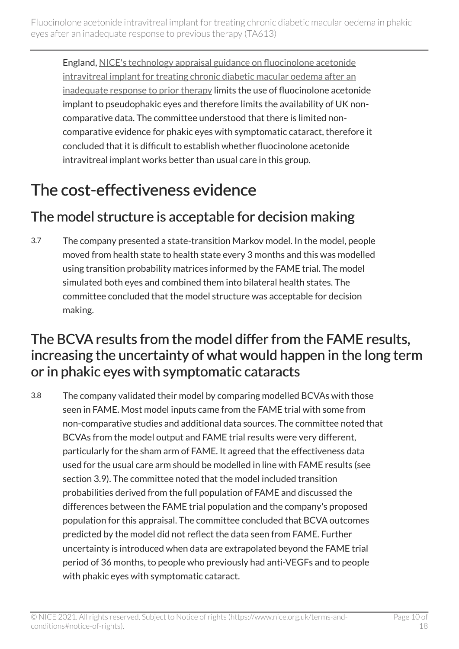England, [NICE's technology appraisal guidance on fluocinolone acetonide](https://www.nice.org.uk/guidance/ta301)  [intravitreal implant for treating chronic diabetic macular oedema after an](https://www.nice.org.uk/guidance/ta301)  [inadequate response to prior therapy](https://www.nice.org.uk/guidance/ta301) limits the use of fluocinolone acetonide implant to pseudophakic eyes and therefore limits the availability of UK noncomparative data. The committee understood that there is limited noncomparative evidence for phakic eyes with symptomatic cataract, therefore it concluded that it is difficult to establish whether fluocinolone acetonide intravitreal implant works better than usual care in this group.

## <span id="page-9-0"></span>The cost-effectiveness evidence

### The model structure is acceptable for decision making

3.7 The company presented a state-transition Markov model. In the model, people moved from health state to health state every 3 months and this was modelled using transition probability matrices informed by the FAME trial. The model simulated both eyes and combined them into bilateral health states. The committee concluded that the model structure was acceptable for decision making.

#### <span id="page-9-1"></span>The BCVA results from the model differ from the FAME results, increasing the uncertainty of what would happen in the long term or in phakic eyes with symptomatic cataracts

3.8 The company validated their model by comparing modelled BCVAs with those seen in FAME. Most model inputs came from the FAME trial with some from non-comparative studies and additional data sources. The committee noted that BCVAs from the model output and FAME trial results were very different, particularly for the sham arm of FAME. It agreed that the effectiveness data used for the usual care arm should be modelled in line with FAME results (see section 3.9). The committee noted that the model included transition probabilities derived from the full population of FAME and discussed the differences between the FAME trial population and the company's proposed population for this appraisal. The committee concluded that BCVA outcomes predicted by the model did not reflect the data seen from FAME. Further uncertainty is introduced when data are extrapolated beyond the FAME trial period of 36 months, to people who previously had anti-VEGFs and to people with phakic eyes with symptomatic cataract.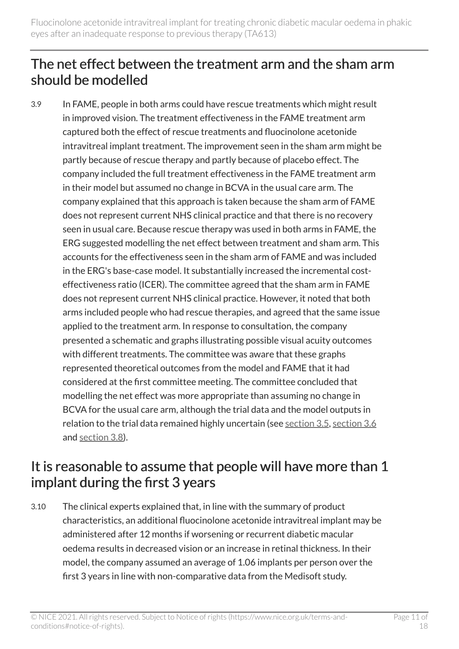#### <span id="page-10-0"></span>The net effect between the treatment arm and the sham arm should be modelled

3.9 In FAME, people in both arms could have rescue treatments which might result in improved vision. The treatment effectiveness in the FAME treatment arm captured both the effect of rescue treatments and fluocinolone acetonide intravitreal implant treatment. The improvement seen in the sham arm might be partly because of rescue therapy and partly because of placebo effect. The company included the full treatment effectiveness in the FAME treatment arm in their model but assumed no change in BCVA in the usual care arm. The company explained that this approach is taken because the sham arm of FAME does not represent current NHS clinical practice and that there is no recovery seen in usual care. Because rescue therapy was used in both arms in FAME, the ERG suggested modelling the net effect between treatment and sham arm. This accounts for the effectiveness seen in the sham arm of FAME and was included in the ERG's base-case model. It substantially increased the incremental costeffectiveness ratio (ICER). The committee agreed that the sham arm in FAME does not represent current NHS clinical practice. However, it noted that both arms included people who had rescue therapies, and agreed that the same issue applied to the treatment arm. In response to consultation, the company presented a schematic and graphs illustrating possible visual acuity outcomes with different treatments. The committee was aware that these graphs represented theoretical outcomes from the model and FAME that it had considered at the first committee meeting. The committee concluded that modelling the net effect was more appropriate than assuming no change in BCVA for the usual care arm, although the trial data and the model outputs in relation to the trial data remained highly uncertain (see [section](#page-7-1) 3.5, [section](#page-8-0) 3.6 and [section](#page-9-1) 3.8).

#### <span id="page-10-1"></span>It is reasonable to assume that people will have more than 1 implant during the first 3 years

3.10 The clinical experts explained that, in line with the summary of product characteristics, an additional fluocinolone acetonide intravitreal implant may be administered after 12 months if worsening or recurrent diabetic macular oedema results in decreased vision or an increase in retinal thickness. In their model, the company assumed an average of 1.06 implants per person over the first 3 years in line with non-comparative data from the Medisoft study.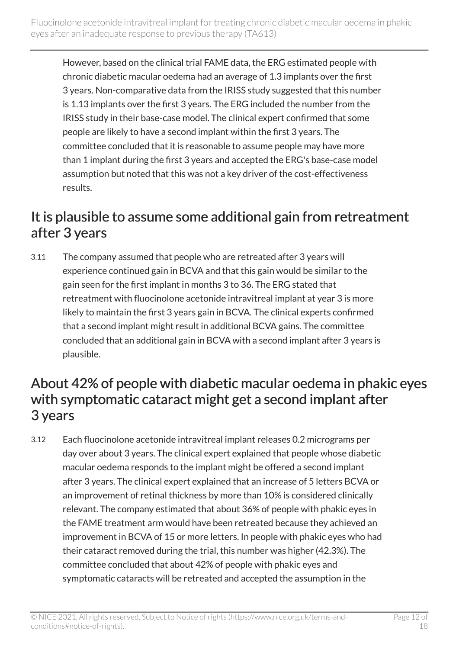However, based on the clinical trial FAME data, the ERG estimated people with chronic diabetic macular oedema had an average of 1.3 implants over the first 3 years. Non-comparative data from the IRISS study suggested that this number is 1.13 implants over the first 3 years. The ERG included the number from the IRISS study in their base-case model. The clinical expert confirmed that some people are likely to have a second implant within the first 3 years. The committee concluded that it is reasonable to assume people may have more than 1 implant during the first 3 years and accepted the ERG's base-case model assumption but noted that this was not a key driver of the cost-effectiveness results.

#### <span id="page-11-0"></span>It is plausible to assume some additional gain from retreatment after 3 years

3.11 The company assumed that people who are retreated after 3 years will experience continued gain in BCVA and that this gain would be similar to the gain seen for the first implant in months 3 to 36. The ERG stated that retreatment with fluocinolone acetonide intravitreal implant at year 3 is more likely to maintain the first 3 years gain in BCVA. The clinical experts confirmed that a second implant might result in additional BCVA gains. The committee concluded that an additional gain in BCVA with a second implant after 3 years is plausible.

#### <span id="page-11-1"></span>About 42% of people with diabetic macular oedema in phakic eyes with symptomatic cataract might get a second implant after 3 years

3.12 Each fluocinolone acetonide intravitreal implant releases 0.2 micrograms per day over about 3 years. The clinical expert explained that people whose diabetic macular oedema responds to the implant might be offered a second implant after 3 years. The clinical expert explained that an increase of 5 letters BCVA or an improvement of retinal thickness by more than 10% is considered clinically relevant. The company estimated that about 36% of people with phakic eyes in the FAME treatment arm would have been retreated because they achieved an improvement in BCVA of 15 or more letters. In people with phakic eyes who had their cataract removed during the trial, this number was higher (42.3%). The committee concluded that about 42% of people with phakic eyes and symptomatic cataracts will be retreated and accepted the assumption in the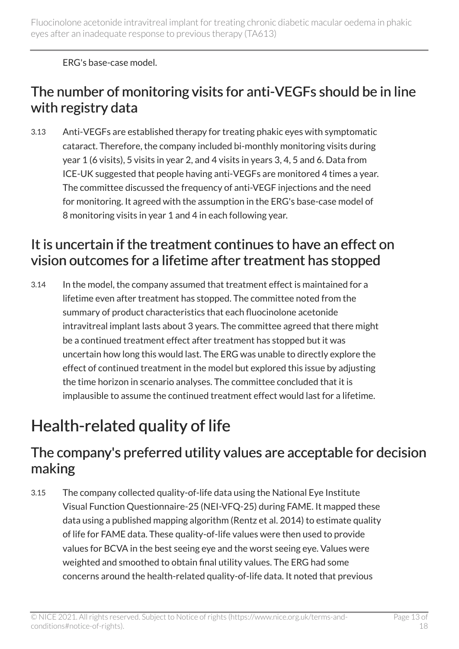ERG's base-case model.

#### <span id="page-12-1"></span>The number of monitoring visits for anti-VEGFs should be in line with registry data

3.13 Anti-VEGFs are established therapy for treating phakic eyes with symptomatic cataract. Therefore, the company included bi-monthly monitoring visits during year 1 (6 visits), 5 visits in year 2, and 4 visits in years 3, 4, 5 and 6. Data from ICE-UK suggested that people having anti-VEGFs are monitored 4 times a year. The committee discussed the frequency of anti-VEGF injections and the need for monitoring. It agreed with the assumption in the ERG's base-case model of 8 monitoring visits in year 1 and 4 in each following year.

#### It is uncertain if the treatment continues to have an effect on vision outcomes for a lifetime after treatment has stopped

3.14 In the model, the company assumed that treatment effect is maintained for a lifetime even after treatment has stopped. The committee noted from the summary of product characteristics that each fluocinolone acetonide intravitreal implant lasts about 3 years. The committee agreed that there might be a continued treatment effect after treatment has stopped but it was uncertain how long this would last. The ERG was unable to directly explore the effect of continued treatment in the model but explored this issue by adjusting the time horizon in scenario analyses. The committee concluded that it is implausible to assume the continued treatment effect would last for a lifetime.

### <span id="page-12-0"></span>Health-related quality of life

#### The company's preferred utility values are acceptable for decision making

3.15 The company collected quality-of-life data using the National Eye Institute Visual Function Questionnaire-25 (NEI-VFQ-25) during FAME. It mapped these data using a published mapping algorithm (Rentz et al. 2014) to estimate quality of life for FAME data. These quality-of-life values were then used to provide values for BCVA in the best seeing eye and the worst seeing eye. Values were weighted and smoothed to obtain final utility values. The ERG had some concerns around the health-related quality-of-life data. It noted that previous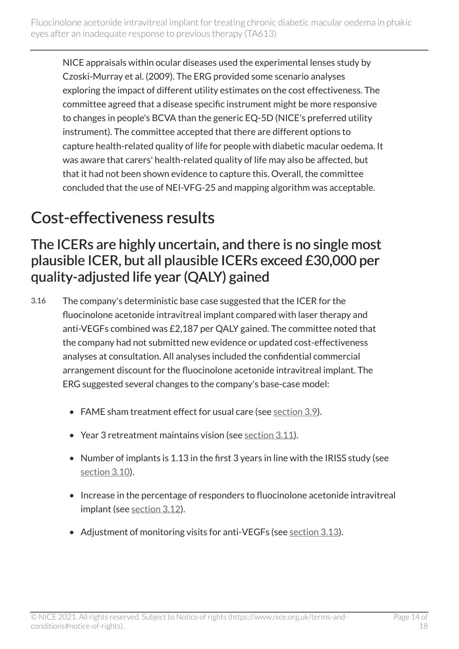NICE appraisals within ocular diseases used the experimental lenses study by Czoski-Murray et al. (2009). The ERG provided some scenario analyses exploring the impact of different utility estimates on the cost effectiveness. The committee agreed that a disease specific instrument might be more responsive to changes in people's BCVA than the generic EQ-5D (NICE's preferred utility instrument). The committee accepted that there are different options to capture health-related quality of life for people with diabetic macular oedema. It was aware that carers' health-related quality of life may also be affected, but that it had not been shown evidence to capture this. Overall, the committee concluded that the use of NEI-VFG-25 and mapping algorithm was acceptable.

### <span id="page-13-0"></span>Cost-effectiveness results

#### The ICERs are highly uncertain, and there is no single most plausible ICER, but all plausible ICERs exceed £30,000 per quality-adjusted life year (QALY) gained

- 3.16 The company's deterministic base case suggested that the ICER for the fluocinolone acetonide intravitreal implant compared with laser therapy and anti-VEGFs combined was £2,187 per QALY gained. The committee noted that the company had not submitted new evidence or updated cost-effectiveness analyses at consultation. All analyses included the confidential commercial arrangement discount for the fluocinolone acetonide intravitreal implant. The ERG suggested several changes to the company's base-case model:
	- FAME sham treatment effect for usual care (see [section](#page-10-0) 3.9).
	- Year 3 retreatment maintains vision (see [section](#page-11-0) 3.11).
	- Number of implants is 1.13 in the first 3 years in line with the IRISS study (see [section](#page-10-1) 3.10).
	- Increase in the percentage of responders to fluocinolone acetonide intravitreal implant (see [section](#page-11-1) 3.12).
	- Adjustment of monitoring visits for anti-VEGFs (see [section](#page-12-1) 3.13).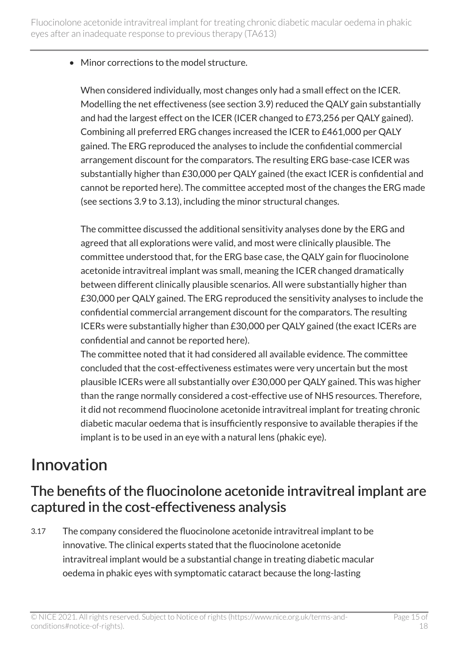• Minor corrections to the model structure.

When considered individually, most changes only had a small effect on the ICER. Modelling the net effectiveness (see section 3.9) reduced the QALY gain substantially and had the largest effect on the ICER (ICER changed to £73,256 per QALY gained). Combining all preferred ERG changes increased the ICER to £461,000 per QALY gained. The ERG reproduced the analyses to include the confidential commercial arrangement discount for the comparators. The resulting ERG base-case ICER was substantially higher than £30,000 per QALY gained (the exact ICER is confidential and cannot be reported here). The committee accepted most of the changes the ERG made (see sections 3.9 to 3.13), including the minor structural changes.

The committee discussed the additional sensitivity analyses done by the ERG and agreed that all explorations were valid, and most were clinically plausible. The committee understood that, for the ERG base case, the QALY gain for fluocinolone acetonide intravitreal implant was small, meaning the ICER changed dramatically between different clinically plausible scenarios. All were substantially higher than £30,000 per QALY gained. The ERG reproduced the sensitivity analyses to include the confidential commercial arrangement discount for the comparators. The resulting ICERs were substantially higher than £30,000 per QALY gained (the exact ICERs are confidential and cannot be reported here).

The committee noted that it had considered all available evidence. The committee concluded that the cost-effectiveness estimates were very uncertain but the most plausible ICERs were all substantially over £30,000 per QALY gained. This was higher than the range normally considered a cost-effective use of NHS resources. Therefore, it did not recommend fluocinolone acetonide intravitreal implant for treating chronic diabetic macular oedema that is insufficiently responsive to available therapies if the implant is to be used in an eye with a natural lens (phakic eye).

### <span id="page-14-0"></span>Innovation

#### The benefits of the fluocinolone acetonide intravitreal implant are captured in the cost-effectiveness analysis

3.17 The company considered the fluocinolone acetonide intravitreal implant to be innovative. The clinical experts stated that the fluocinolone acetonide intravitreal implant would be a substantial change in treating diabetic macular oedema in phakic eyes with symptomatic cataract because the long-lasting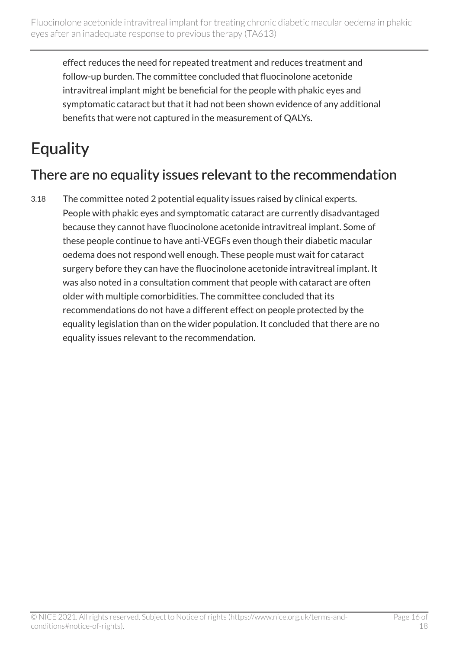effect reduces the need for repeated treatment and reduces treatment and follow-up burden. The committee concluded that fluocinolone acetonide intravitreal implant might be beneficial for the people with phakic eyes and symptomatic cataract but that it had not been shown evidence of any additional benefits that were not captured in the measurement of QALYs.

## <span id="page-15-0"></span>**Equality**

#### There are no equality issues relevant to the recommendation

3.18 The committee noted 2 potential equality issues raised by clinical experts. People with phakic eyes and symptomatic cataract are currently disadvantaged because they cannot have fluocinolone acetonide intravitreal implant. Some of these people continue to have anti-VEGFs even though their diabetic macular oedema does not respond well enough. These people must wait for cataract surgery before they can have the fluocinolone acetonide intravitreal implant. It was also noted in a consultation comment that people with cataract are often older with multiple comorbidities. The committee concluded that its recommendations do not have a different effect on people protected by the equality legislation than on the wider population. It concluded that there are no equality issues relevant to the recommendation.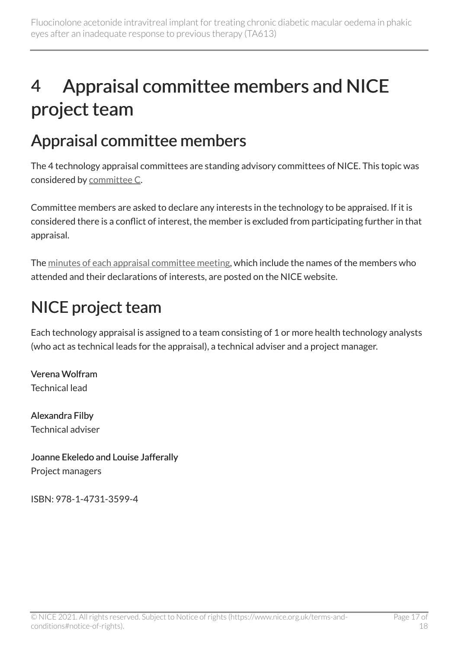# <span id="page-16-0"></span>4 Appraisal committee members and NICE project team

### <span id="page-16-1"></span>Appraisal committee members

The 4 technology appraisal committees are standing advisory committees of NICE. This topic was considered by [committee C](https://www.nice.org.uk/Get-Involved/Meetings-in-public/Technology-appraisal-Committee/Committee-C-Members).

Committee members are asked to declare any interests in the technology to be appraised. If it is considered there is a conflict of interest, the member is excluded from participating further in that appraisal.

The [minutes of each appraisal committee meeting](https://www.nice.org.uk/get-involved/meetings-in-public/technology-appraisal-committee), which include the names of the members who attended and their declarations of interests, are posted on the NICE website.

### <span id="page-16-2"></span>NICE project team

Each technology appraisal is assigned to a team consisting of 1 or more health technology analysts (who act as technical leads for the appraisal), a technical adviser and a project manager.

Verena Wolfram Technical lead

Alexandra Filby Technical adviser

#### Joanne Ekeledo and Louise Jafferally Project managers

ISBN: 978-1-4731-3599-4